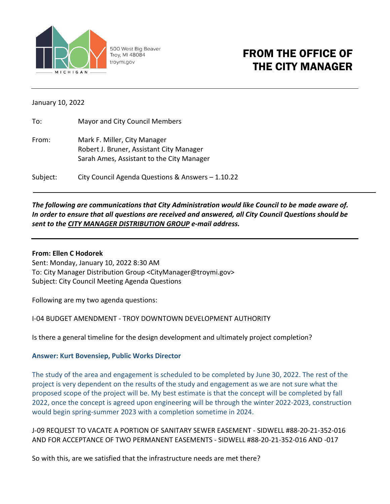

500 West Big Beaver Troy, MI 48084 troymi.gov

# FROM THE OFFICE OF THE CITY MANAGER

January 10, 2022

| To:      | Mayor and City Council Members                    |
|----------|---------------------------------------------------|
| From:    | Mark F. Miller, City Manager                      |
|          | Robert J. Bruner, Assistant City Manager          |
|          | Sarah Ames, Assistant to the City Manager         |
| Subject: | City Council Agenda Questions & Answers - 1.10.22 |

## *The following are communications that City Administration would like Council to be made aware of. In order to ensure that all questions are received and answered, all City Council Questions should be sent to the CITY MANAGER DISTRIBUTION GROUP e-mail address.*

#### **From: Ellen C Hodorek**

Sent: Monday, January 10, 2022 8:30 AM To: City Manager Distribution Group <CityManager@troymi.gov> Subject: City Council Meeting Agenda Questions

Following are my two agenda questions:

I-04 BUDGET AMENDMENT - TROY DOWNTOWN DEVELOPMENT AUTHORITY

Is there a general timeline for the design development and ultimately project completion?

### **Answer: Kurt Bovensiep, Public Works Director**

The study of the area and engagement is scheduled to be completed by June 30, 2022. The rest of the project is very dependent on the results of the study and engagement as we are not sure what the proposed scope of the project will be. My best estimate is that the concept will be completed by fall 2022, once the concept is agreed upon engineering will be through the winter 2022-2023, construction would begin spring-summer 2023 with a completion sometime in 2024.

J-09 REQUEST TO VACATE A PORTION OF SANITARY SEWER EASEMENT - SIDWELL #88-20-21-352-016 AND FOR ACCEPTANCE OF TWO PERMANENT EASEMENTS - SIDWELL #88-20-21-352-016 AND -017

So with this, are we satisfied that the infrastructure needs are met there?